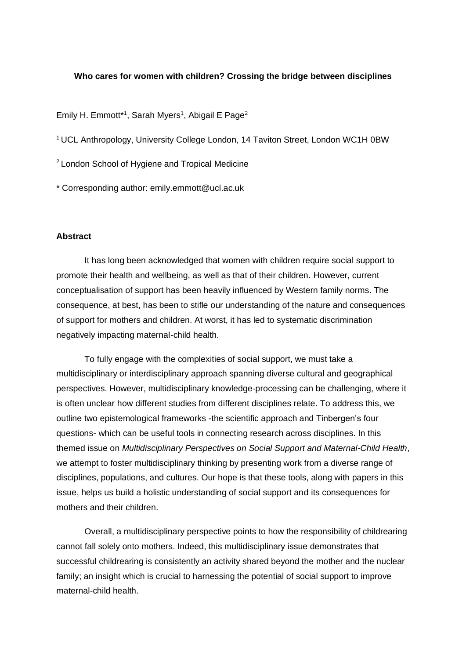## **Who cares for women with children? Crossing the bridge between disciplines**

Emily H. Emmott<sup>\*1</sup>, Sarah Myers<sup>1</sup>, Abigail E Page<sup>2</sup>

<sup>1</sup> UCL Anthropology, University College London, 14 Taviton Street, London WC1H 0BW

<sup>2</sup>London School of Hygiene and Tropical Medicine

\* Corresponding author: emily.emmott@ucl.ac.uk

## **Abstract**

It has long been acknowledged that women with children require social support to promote their health and wellbeing, as well as that of their children. However, current conceptualisation of support has been heavily influenced by Western family norms. The consequence, at best, has been to stifle our understanding of the nature and consequences of support for mothers and children. At worst, it has led to systematic discrimination negatively impacting maternal-child health.

To fully engage with the complexities of social support, we must take a multidisciplinary or interdisciplinary approach spanning diverse cultural and geographical perspectives. However, multidisciplinary knowledge-processing can be challenging, where it is often unclear how different studies from different disciplines relate. To address this, we outline two epistemological frameworks -the scientific approach and Tinbergen's four questions- which can be useful tools in connecting research across disciplines. In this themed issue on *Multidisciplinary Perspectives on Social Support and Maternal-Child Health*, we attempt to foster multidisciplinary thinking by presenting work from a diverse range of disciplines, populations, and cultures. Our hope is that these tools, along with papers in this issue, helps us build a holistic understanding of social support and its consequences for mothers and their children.

Overall, a multidisciplinary perspective points to how the responsibility of childrearing cannot fall solely onto mothers. Indeed, this multidisciplinary issue demonstrates that successful childrearing is consistently an activity shared beyond the mother and the nuclear family; an insight which is crucial to harnessing the potential of social support to improve maternal-child health.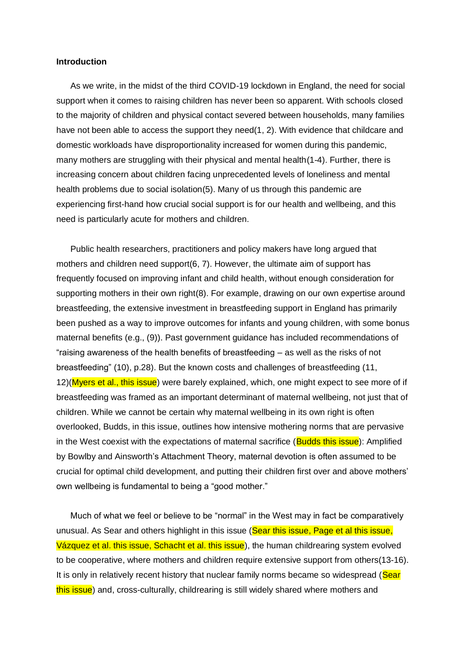#### **Introduction**

As we write, in the midst of the third COVID-19 lockdown in England, the need for social support when it comes to raising children has never been so apparent. With schools closed to the majority of children and physical contact severed between households, many families have not been able to access the support they need(1, 2). With evidence that childcare and domestic workloads have disproportionality increased for women during this pandemic, many mothers are struggling with their physical and mental health(1-4). Further, there is increasing concern about children facing unprecedented levels of loneliness and mental health problems due to social isolation(5). Many of us through this pandemic are experiencing first-hand how crucial social support is for our health and wellbeing, and this need is particularly acute for mothers and children.

Public health researchers, practitioners and policy makers have long argued that mothers and children need support(6, 7). However, the ultimate aim of support has frequently focused on improving infant and child health, without enough consideration for supporting mothers in their own right(8). For example, drawing on our own expertise around breastfeeding, the extensive investment in breastfeeding support in England has primarily been pushed as a way to improve outcomes for infants and young children, with some bonus maternal benefits (e.g., (9)). Past government guidance has included recommendations of "raising awareness of the health benefits of breastfeeding – as well as the risks of not breastfeeding" (10), p.28). But the known costs and challenges of breastfeeding (11, 12)(Myers et al., this issue) were barely explained, which, one might expect to see more of if breastfeeding was framed as an important determinant of maternal wellbeing, not just that of children. While we cannot be certain why maternal wellbeing in its own right is often overlooked, Budds, in this issue, outlines how intensive mothering norms that are pervasive in the West coexist with the expectations of maternal sacrifice (**Budds this issue**): Amplified by Bowlby and Ainsworth's Attachment Theory, maternal devotion is often assumed to be crucial for optimal child development, and putting their children first over and above mothers' own wellbeing is fundamental to being a "good mother."

Much of what we feel or believe to be "normal" in the West may in fact be comparatively unusual. As Sear and others highlight in this issue (Sear this issue, Page et al this issue, Vázquez et al. this issue, Schacht et al. this issue), the human childrearing system evolved to be cooperative, where mothers and children require extensive support from others(13-16). It is only in relatively recent history that nuclear family norms became so widespread (Sear this issue) and, cross-culturally, childrearing is still widely shared where mothers and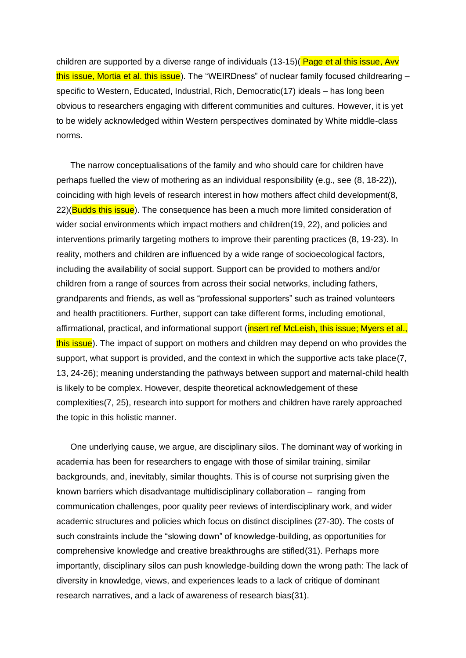children are supported by a diverse range of individuals (13-15)( Page et al this issue, Avv this issue, Mortia et al. this issue). The "WEIRDness" of nuclear family focused childrearing – specific to Western, Educated, Industrial, Rich, Democratic(17) ideals – has long been obvious to researchers engaging with different communities and cultures. However, it is yet to be widely acknowledged within Western perspectives dominated by White middle-class norms.

The narrow conceptualisations of the family and who should care for children have perhaps fuelled the view of mothering as an individual responsibility (e.g., see (8, 18-22)), coinciding with high levels of research interest in how mothers affect child development(8, 22)(Budds this issue). The consequence has been a much more limited consideration of wider social environments which impact mothers and children(19, 22), and policies and interventions primarily targeting mothers to improve their parenting practices (8, 19-23). In reality, mothers and children are influenced by a wide range of socioecological factors, including the availability of social support. Support can be provided to mothers and/or children from a range of sources from across their social networks, including fathers, grandparents and friends, as well as "professional supporters" such as trained volunteers and health practitioners. Further, support can take different forms, including emotional, affirmational, practical, and informational support (insert ref McLeish, this issue; Myers et al., this issue). The impact of support on mothers and children may depend on who provides the support, what support is provided, and the context in which the supportive acts take place(7, 13, 24-26); meaning understanding the pathways between support and maternal-child health is likely to be complex. However, despite theoretical acknowledgement of these complexities(7, 25), research into support for mothers and children have rarely approached the topic in this holistic manner.

One underlying cause, we argue, are disciplinary silos. The dominant way of working in academia has been for researchers to engage with those of similar training, similar backgrounds, and, inevitably, similar thoughts. This is of course not surprising given the known barriers which disadvantage multidisciplinary collaboration – ranging from communication challenges, poor quality peer reviews of interdisciplinary work, and wider academic structures and policies which focus on distinct disciplines (27-30). The costs of such constraints include the "slowing down" of knowledge-building, as opportunities for comprehensive knowledge and creative breakthroughs are stifled(31). Perhaps more importantly, disciplinary silos can push knowledge-building down the wrong path: The lack of diversity in knowledge, views, and experiences leads to a lack of critique of dominant research narratives, and a lack of awareness of research bias(31).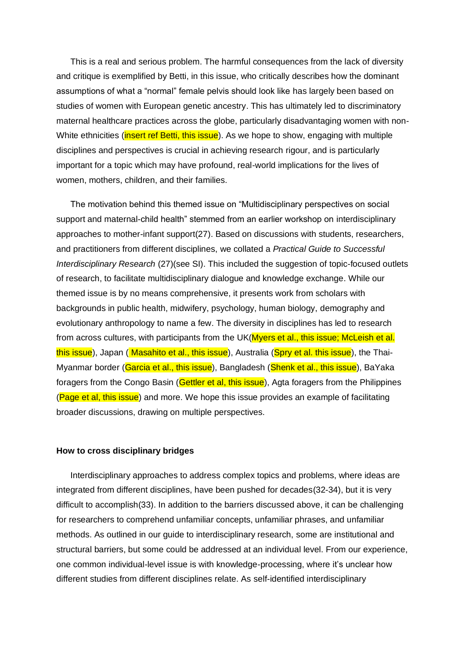This is a real and serious problem. The harmful consequences from the lack of diversity and critique is exemplified by Betti, in this issue, who critically describes how the dominant assumptions of what a "normal" female pelvis should look like has largely been based on studies of women with European genetic ancestry. This has ultimately led to discriminatory maternal healthcare practices across the globe, particularly disadvantaging women with non-White ethnicities (*insert ref Betti, this issue*). As we hope to show, engaging with multiple disciplines and perspectives is crucial in achieving research rigour, and is particularly important for a topic which may have profound, real-world implications for the lives of women, mothers, children, and their families.

The motivation behind this themed issue on "Multidisciplinary perspectives on social support and maternal-child health" stemmed from an earlier workshop on interdisciplinary approaches to mother-infant support(27). Based on discussions with students, researchers, and practitioners from different disciplines, we collated a *Practical Guide to Successful Interdisciplinary Research* (27)(see SI). This included the suggestion of topic-focused outlets of research, to facilitate multidisciplinary dialogue and knowledge exchange. While our themed issue is by no means comprehensive, it presents work from scholars with backgrounds in public health, midwifery, psychology, human biology, demography and evolutionary anthropology to name a few. The diversity in disciplines has led to research from across cultures, with participants from the UK(Myers et al., this issue; McLeish et al. this issue), Japan ( Masahito et al., this issue), Australia (Spry et al. this issue), the Thai-Myanmar border (Garcia et al., this issue), Bangladesh (Shenk et al., this issue), BaYaka foragers from the Congo Basin (Gettler et al, this issue), Agta foragers from the Philippines (Page et al, this issue) and more. We hope this issue provides an example of facilitating broader discussions, drawing on multiple perspectives.

### **How to cross disciplinary bridges**

Interdisciplinary approaches to address complex topics and problems, where ideas are integrated from different disciplines, have been pushed for decades(32-34), but it is very difficult to accomplish(33). In addition to the barriers discussed above, it can be challenging for researchers to comprehend unfamiliar concepts, unfamiliar phrases, and unfamiliar methods. As outlined in our guide to interdisciplinary research, some are institutional and structural barriers, but some could be addressed at an individual level. From our experience, one common individual-level issue is with knowledge-processing, where it's unclear how different studies from different disciplines relate. As self-identified interdisciplinary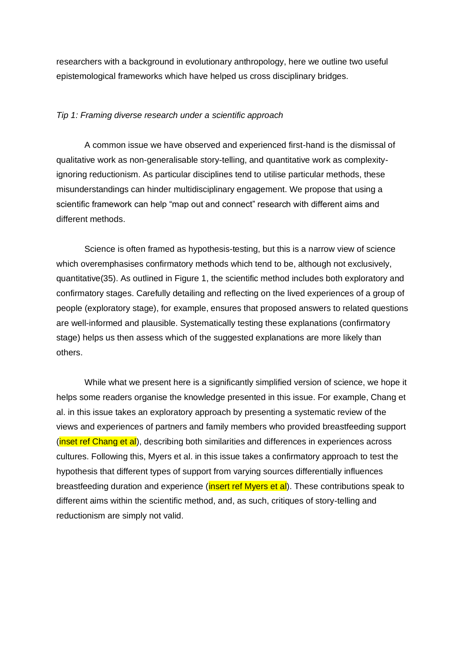researchers with a background in evolutionary anthropology, here we outline two useful epistemological frameworks which have helped us cross disciplinary bridges.

#### *Tip 1: Framing diverse research under a scientific approach*

A common issue we have observed and experienced first-hand is the dismissal of qualitative work as non-generalisable story-telling, and quantitative work as complexityignoring reductionism. As particular disciplines tend to utilise particular methods, these misunderstandings can hinder multidisciplinary engagement. We propose that using a scientific framework can help "map out and connect" research with different aims and different methods.

Science is often framed as hypothesis-testing, but this is a narrow view of science which overemphasises confirmatory methods which tend to be, although not exclusively, quantitative(35). As outlined in Figure 1, the scientific method includes both exploratory and confirmatory stages. Carefully detailing and reflecting on the lived experiences of a group of people (exploratory stage), for example, ensures that proposed answers to related questions are well-informed and plausible. Systematically testing these explanations (confirmatory stage) helps us then assess which of the suggested explanations are more likely than others.

While what we present here is a significantly simplified version of science, we hope it helps some readers organise the knowledge presented in this issue. For example, Chang et al. in this issue takes an exploratory approach by presenting a systematic review of the views and experiences of partners and family members who provided breastfeeding support (*inset ref Chang et al*), describing both similarities and differences in experiences across cultures. Following this, Myers et al. in this issue takes a confirmatory approach to test the hypothesis that different types of support from varying sources differentially influences breastfeeding duration and experience (*insert ref Myers et al*). These contributions speak to different aims within the scientific method, and, as such, critiques of story-telling and reductionism are simply not valid.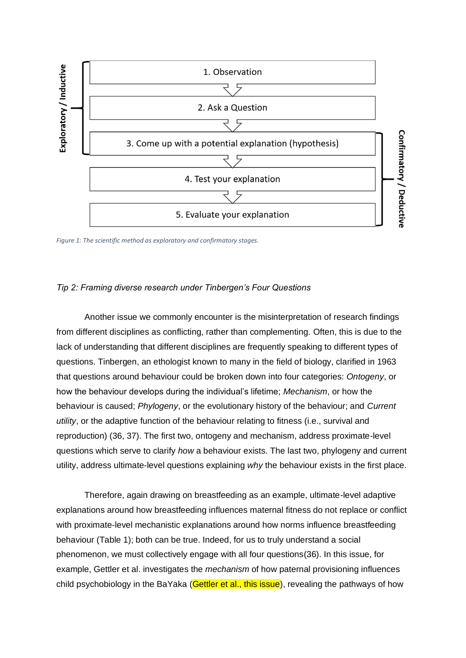

*Figure 1: The scientific method as exploratory and confirmatory stages.*

## *Tip 2: Framing diverse research under Tinbergen's Four Questions*

Another issue we commonly encounter is the misinterpretation of research findings from different disciplines as conflicting, rather than complementing. Often, this is due to the lack of understanding that different disciplines are frequently speaking to different types of questions. Tinbergen, an ethologist known to many in the field of biology, clarified in 1963 that questions around behaviour could be broken down into four categories: *Ontogeny*, or how the behaviour develops during the individual's lifetime; *Mechanism*, or how the behaviour is caused; *Phylogeny*, or the evolutionary history of the behaviour; and *Current utility*, or the adaptive function of the behaviour relating to fitness (i.e., survival and reproduction) (36, 37). The first two, ontogeny and mechanism, address proximate-level questions which serve to clarify *how* a behaviour exists. The last two, phylogeny and current utility, address ultimate-level questions explaining *why* the behaviour exists in the first place.

Therefore, again drawing on breastfeeding as an example, ultimate-level adaptive explanations around how breastfeeding influences maternal fitness do not replace or conflict with proximate-level mechanistic explanations around how norms influence breastfeeding behaviour (Table 1); both can be true. Indeed, for us to truly understand a social phenomenon, we must collectively engage with all four questions(36). In this issue, for example, Gettler et al. investigates the *mechanism* of how paternal provisioning influences child psychobiology in the BaYaka (Gettler et al., this issue), revealing the pathways of how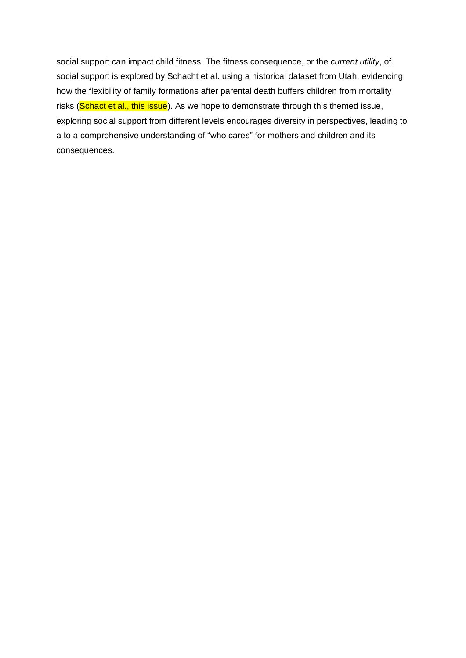social support can impact child fitness. The fitness consequence, or the *current utility*, of social support is explored by Schacht et al. using a historical dataset from Utah, evidencing how the flexibility of family formations after parental death buffers children from mortality risks (Schact et al., this issue). As we hope to demonstrate through this themed issue, exploring social support from different levels encourages diversity in perspectives, leading to a to a comprehensive understanding of "who cares" for mothers and children and its consequences.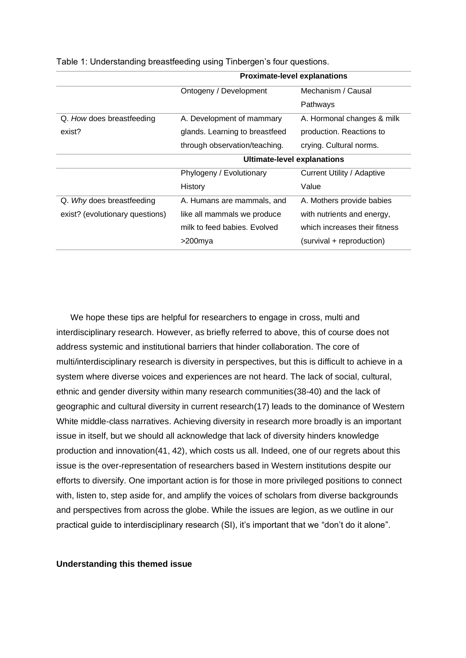|                                 | <b>Proximate-level explanations</b> |                               |
|---------------------------------|-------------------------------------|-------------------------------|
|                                 | Ontogeny / Development              | Mechanism / Causal            |
|                                 |                                     | Pathways                      |
| Q. How does breastfeeding       | A. Development of mammary           | A. Hormonal changes & milk    |
| exist?                          | glands. Learning to breastfeed      | production. Reactions to      |
|                                 | through observation/teaching.       | crying. Cultural norms.       |
|                                 | <b>Ultimate-level explanations</b>  |                               |
|                                 | Phylogeny / Evolutionary            | Current Utility / Adaptive    |
|                                 | History                             | Value                         |
| Q. Why does breastfeeding       | A. Humans are mammals, and          | A. Mothers provide babies     |
| exist? (evolutionary questions) | like all mammals we produce         | with nutrients and energy,    |
|                                 | milk to feed babies. Evolved        | which increases their fitness |
|                                 | >200mya                             | (survival + reproduction)     |

Table 1: Understanding breastfeeding using Tinbergen's four questions.

We hope these tips are helpful for researchers to engage in cross, multi and interdisciplinary research. However, as briefly referred to above, this of course does not address systemic and institutional barriers that hinder collaboration. The core of multi/interdisciplinary research is diversity in perspectives, but this is difficult to achieve in a system where diverse voices and experiences are not heard. The lack of social, cultural, ethnic and gender diversity within many research communities(38-40) and the lack of geographic and cultural diversity in current research(17) leads to the dominance of Western White middle-class narratives. Achieving diversity in research more broadly is an important issue in itself, but we should all acknowledge that lack of diversity hinders knowledge production and innovation(41, 42), which costs us all. Indeed, one of our regrets about this issue is the over-representation of researchers based in Western institutions despite our efforts to diversify. One important action is for those in more privileged positions to connect with, listen to, step aside for, and amplify the voices of scholars from diverse backgrounds and perspectives from across the globe. While the issues are legion, as we outline in our practical guide to interdisciplinary research (SI), it's important that we "don't do it alone".

#### **Understanding this themed issue**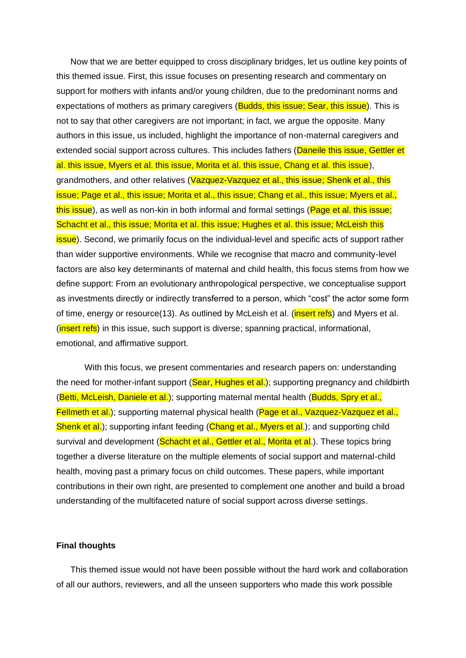Now that we are better equipped to cross disciplinary bridges, let us outline key points of this themed issue. First, this issue focuses on presenting research and commentary on support for mothers with infants and/or young children, due to the predominant norms and expectations of mothers as primary caregivers (Budds, this issue; Sear, this issue). This is not to say that other caregivers are not important; in fact, we argue the opposite. Many authors in this issue, us included, highlight the importance of non-maternal caregivers and extended social support across cultures. This includes fathers (Daneile this issue, Gettler et al. this issue, Myers et al. this issue, Morita et al. this issue, Chang et al. this issue), grandmothers, and other relatives (Vazquez-Vazquez et al., this issue; Shenk et al., this issue; Page et al., this issue; Morita et al., this issue; Chang et al., this issue; Myers et al., this issue), as well as non-kin in both informal and formal settings (Page et al. this issue; Schacht et al., this issue; Morita et al. this issue; Hughes et al. this issue; McLeish this **issue**). Second, we primarily focus on the individual-level and specific acts of support rather than wider supportive environments. While we recognise that macro and community-level factors are also key determinants of maternal and child health, this focus stems from how we define support: From an evolutionary anthropological perspective, we conceptualise support as investments directly or indirectly transferred to a person, which "cost" the actor some form of time, energy or resource(13). As outlined by McLeish et al. (*insert refs*) and Myers et al. (**insert refs**) in this issue, such support is diverse; spanning practical, informational, emotional, and affirmative support.

With this focus, we present commentaries and research papers on: understanding the need for mother-infant support (Sear, Hughes et al.); supporting pregnancy and childbirth (Betti, McLeish, Daniele et al.); supporting maternal mental health (Budds, Spry et al., Fellmeth et al.); supporting maternal physical health (Page et al., Vazquez-Vazquez et al., Shenk et al.); supporting infant feeding (Chang et al., Myers et al.); and supporting child survival and development (Schacht et al., Gettler et al., Morita et al.). These topics bring together a diverse literature on the multiple elements of social support and maternal-child health, moving past a primary focus on child outcomes. These papers, while important contributions in their own right, are presented to complement one another and build a broad understanding of the multifaceted nature of social support across diverse settings.

## **Final thoughts**

This themed issue would not have been possible without the hard work and collaboration of all our authors, reviewers, and all the unseen supporters who made this work possible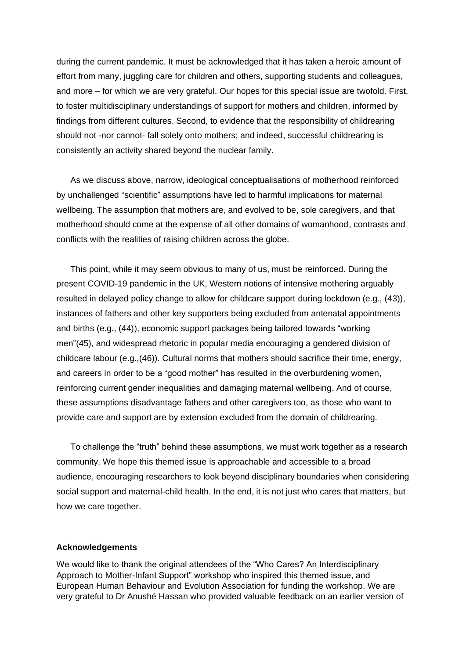during the current pandemic. It must be acknowledged that it has taken a heroic amount of effort from many, juggling care for children and others, supporting students and colleagues, and more – for which we are very grateful. Our hopes for this special issue are twofold. First, to foster multidisciplinary understandings of support for mothers and children, informed by findings from different cultures. Second, to evidence that the responsibility of childrearing should not -nor cannot- fall solely onto mothers; and indeed, successful childrearing is consistently an activity shared beyond the nuclear family.

As we discuss above, narrow, ideological conceptualisations of motherhood reinforced by unchallenged "scientific" assumptions have led to harmful implications for maternal wellbeing. The assumption that mothers are, and evolved to be, sole caregivers, and that motherhood should come at the expense of all other domains of womanhood, contrasts and conflicts with the realities of raising children across the globe.

This point, while it may seem obvious to many of us, must be reinforced. During the present COVID-19 pandemic in the UK, Western notions of intensive mothering arguably resulted in delayed policy change to allow for childcare support during lockdown (e.g., (43)), instances of fathers and other key supporters being excluded from antenatal appointments and births (e.g., (44)), economic support packages being tailored towards "working men"(45), and widespread rhetoric in popular media encouraging a gendered division of childcare labour (e.g.,(46)). Cultural norms that mothers should sacrifice their time, energy, and careers in order to be a "good mother" has resulted in the overburdening women, reinforcing current gender inequalities and damaging maternal wellbeing. And of course, these assumptions disadvantage fathers and other caregivers too, as those who want to provide care and support are by extension excluded from the domain of childrearing.

To challenge the "truth" behind these assumptions, we must work together as a research community. We hope this themed issue is approachable and accessible to a broad audience, encouraging researchers to look beyond disciplinary boundaries when considering social support and maternal-child health. In the end, it is not just who cares that matters, but how we care together.

#### **Acknowledgements**

We would like to thank the original attendees of the "Who Cares? An Interdisciplinary Approach to Mother-Infant Support" workshop who inspired this themed issue, and European Human Behaviour and Evolution Association for funding the workshop. We are very grateful to Dr Anushé Hassan who provided valuable feedback on an earlier version of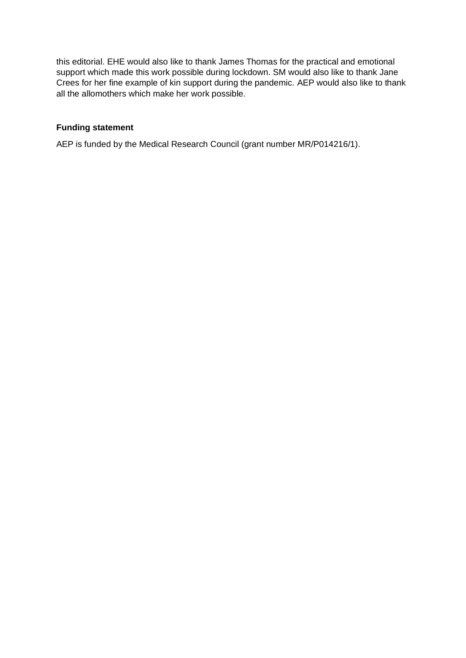this editorial. EHE would also like to thank James Thomas for the practical and emotional support which made this work possible during lockdown. SM would also like to thank Jane Crees for her fine example of kin support during the pandemic. AEP would also like to thank all the allomothers which make her work possible.

# **Funding statement**

AEP is funded by the Medical Research Council (grant number MR/P014216/1).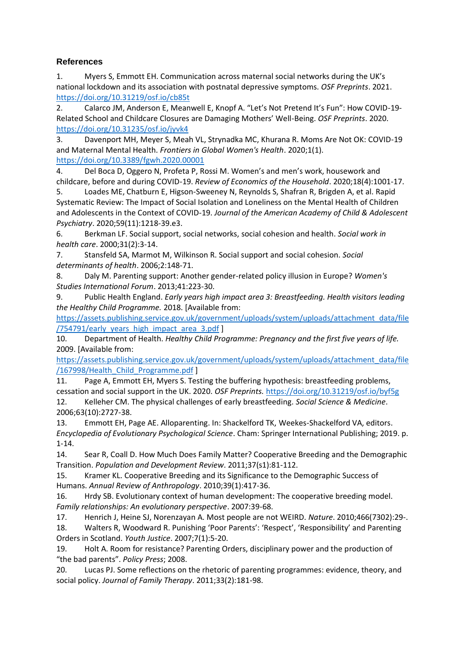## **References**

1. Myers S, Emmott EH. Communication across maternal social networks during the UK's national lockdown and its association with postnatal depressive symptoms. *OSF Preprints*. 2021. <https://doi.org/10.31219/osf.io/cb85t>

2. Calarco JM, Anderson E, Meanwell E, Knopf A. "Let's Not Pretend It's Fun": How COVID-19- Related School and Childcare Closures are Damaging Mothers' Well-Being. *OSF Preprints*. 2020. <https://doi.org/10.31235/osf.io/jyvk4>

3. Davenport MH, Meyer S, Meah VL, Strynadka MC, Khurana R. Moms Are Not OK: COVID-19 and Maternal Mental Health. *Frontiers in Global Women's Health*. 2020;1(1). <https://doi.org/10.3389/fgwh.2020.00001>

4. Del Boca D, Oggero N, Profeta P, Rossi M. Women's and men's work, housework and childcare, before and during COVID-19. *Review of Economics of the Household*. 2020;18(4):1001-17.

5. Loades ME, Chatburn E, Higson-Sweeney N, Reynolds S, Shafran R, Brigden A, et al. Rapid Systematic Review: The Impact of Social Isolation and Loneliness on the Mental Health of Children and Adolescents in the Context of COVID-19. *Journal of the American Academy of Child & Adolescent Psychiatry*. 2020;59(11):1218-39.e3.

6. Berkman LF. Social support, social networks, social cohesion and health. *Social work in health care*. 2000;31(2):3-14.

7. Stansfeld SA, Marmot M, Wilkinson R. Social support and social cohesion. *Social determinants of health*. 2006;2:148-71.

8. Daly M. Parenting support: Another gender-related policy illusion in Europe? *Women's Studies International Forum*. 2013;41:223-30.

9. Public Health England. *Early years high impact area 3: Breastfeeding. Health visitors leading the Healthy Child Programme.* 2018. [Available from:

[https://assets.publishing.service.gov.uk/government/uploads/system/uploads/attachment\\_data/file](https://assets.publishing.service.gov.uk/government/uploads/system/uploads/attachment_data/file/754791/early_years_high_impact_area_3.pdf) [/754791/early\\_years\\_high\\_impact\\_area\\_3.pdf](https://assets.publishing.service.gov.uk/government/uploads/system/uploads/attachment_data/file/754791/early_years_high_impact_area_3.pdf) ]

10. Department of Health. *Healthy Child Programme: Pregnancy and the first five years of life.* 2009. [Available from:

[https://assets.publishing.service.gov.uk/government/uploads/system/uploads/attachment\\_data/file](https://assets.publishing.service.gov.uk/government/uploads/system/uploads/attachment_data/file/167998/Health_Child_Programme.pdf) [/167998/Health\\_Child\\_Programme.pdf](https://assets.publishing.service.gov.uk/government/uploads/system/uploads/attachment_data/file/167998/Health_Child_Programme.pdf) ]

11. Page A, Emmott EH, Myers S. Testing the buffering hypothesis: breastfeeding problems, cessation and social support in the UK. 2020. *OSF Preprints.* <https://doi.org/10.31219/osf.io/byf5g>

12. Kelleher CM. The physical challenges of early breastfeeding. *Social Science & Medicine*. 2006;63(10):2727-38.

13. Emmott EH, Page AE. Alloparenting. In: Shackelford TK, Weekes-Shackelford VA, editors. *Encyclopedia of Evolutionary Psychological Science*. Cham: Springer International Publishing; 2019. p. 1-14.

14. Sear R, Coall D. How Much Does Family Matter? Cooperative Breeding and the Demographic Transition. *Population and Development Review*. 2011;37(s1):81-112.

15. Kramer KL. Cooperative Breeding and its Significance to the Demographic Success of Humans. *Annual Review of Anthropology*. 2010;39(1):417-36.

16. Hrdy SB. Evolutionary context of human development: The cooperative breeding model. *Family relationships: An evolutionary perspective*. 2007:39-68.

17. Henrich J, Heine SJ, Norenzayan A. Most people are not WEIRD. *Nature*. 2010;466(7302):29-.

18. Walters R, Woodward R. Punishing 'Poor Parents': 'Respect', 'Responsibility' and Parenting Orders in Scotland. *Youth Justice*. 2007;7(1):5-20.

19. Holt A. Room for resistance? Parenting Orders, disciplinary power and the production of "the bad parents". *Policy Press*; 2008.

20. Lucas PJ. Some reflections on the rhetoric of parenting programmes: evidence, theory, and social policy. *Journal of Family Therapy*. 2011;33(2):181-98.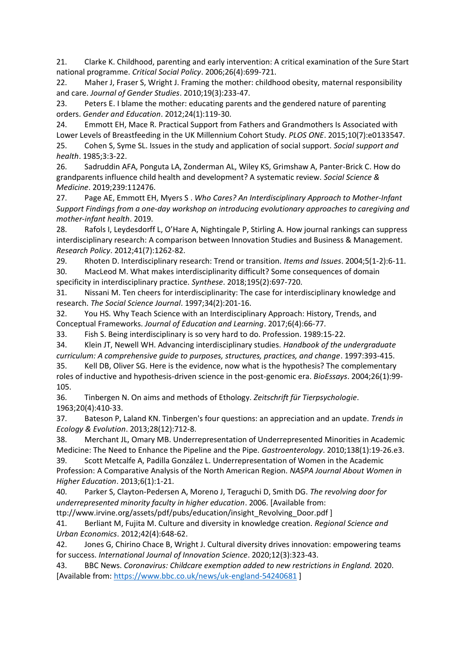21. Clarke K. Childhood, parenting and early intervention: A critical examination of the Sure Start national programme. *Critical Social Policy*. 2006;26(4):699-721.

22. Maher J, Fraser S, Wright J. Framing the mother: childhood obesity, maternal responsibility and care. *Journal of Gender Studies*. 2010;19(3):233-47.

23. Peters E. I blame the mother: educating parents and the gendered nature of parenting orders. *Gender and Education*. 2012;24(1):119-30.

24. Emmott EH, Mace R. Practical Support from Fathers and Grandmothers Is Associated with Lower Levels of Breastfeeding in the UK Millennium Cohort Study. *PLOS ONE*. 2015;10(7):e0133547. 25. Cohen S, Syme SL. Issues in the study and application of social support. *Social support and health*. 1985;3:3-22.

26. Sadruddin AFA, Ponguta LA, Zonderman AL, Wiley KS, Grimshaw A, Panter-Brick C. How do grandparents influence child health and development? A systematic review. *Social Science & Medicine*. 2019;239:112476.

27. Page AE, Emmott EH, Myers S . *Who Cares? An Interdisciplinary Approach to Mother-Infant Support Findings from a one-day workshop on introducing evolutionary approaches to caregiving and mother-infant health*. 2019.

28. Rafols I, Leydesdorff L, O'Hare A, Nightingale P, Stirling A. How journal rankings can suppress interdisciplinary research: A comparison between Innovation Studies and Business & Management. *Research Policy*. 2012;41(7):1262-82.

29. Rhoten D. Interdisciplinary research: Trend or transition. *Items and Issues*. 2004;5(1-2):6-11. 30. MacLeod M. What makes interdisciplinarity difficult? Some consequences of domain specificity in interdisciplinary practice. *Synthese*. 2018;195(2):697-720.

31. Nissani M. Ten cheers for interdisciplinarity: The case for interdisciplinary knowledge and research. *The Social Science Journal*. 1997;34(2):201-16.

32. You HS. Why Teach Science with an Interdisciplinary Approach: History, Trends, and Conceptual Frameworks. *Journal of Education and Learning*. 2017;6(4):66-77.

33. Fish S. Being interdisciplinary is so very hard to do. Profession. 1989:15-22.

34. Klein JT, Newell WH. Advancing interdisciplinary studies. *Handbook of the undergraduate curriculum: A comprehensive guide to purposes, structures, practices, and change*. 1997:393-415.

35. Kell DB, Oliver SG. Here is the evidence, now what is the hypothesis? The complementary roles of inductive and hypothesis-driven science in the post-genomic era. *BioEssays*. 2004;26(1):99- 105.

36. Tinbergen N. On aims and methods of Ethology. *Zeitschrift für Tierpsychologie*. 1963;20(4):410-33.

37. Bateson P, Laland KN. Tinbergen's four questions: an appreciation and an update. *Trends in Ecology & Evolution*. 2013;28(12):712-8.

38. Merchant JL, Omary MB. Underrepresentation of Underrepresented Minorities in Academic Medicine: The Need to Enhance the Pipeline and the Pipe. *Gastroenterology*. 2010;138(1):19-26.e3.

39. Scott Metcalfe A, Padilla González L. Underrepresentation of Women in the Academic Profession: A Comparative Analysis of the North American Region. *NASPA Journal About Women in Higher Education*. 2013;6(1):1-21.

40. Parker S, Clayton-Pedersen A, Moreno J, Teraguchi D, Smith DG. *The revolving door for underrepresented minority faculty in higher education*. 2006. [Available from:

ttp://www.irvine.org/assets/pdf/pubs/education/insight\_Revolving\_Door.pdf ]

41. Berliant M, Fujita M. Culture and diversity in knowledge creation. *Regional Science and Urban Economics*. 2012;42(4):648-62.

42. Jones G, Chirino Chace B, Wright J. Cultural diversity drives innovation: empowering teams for success. *International Journal of Innovation Science*. 2020;12(3):323-43.

43. BBC News. *Coronavirus: Childcare exemption added to new restrictions in England.* 2020. [Available from:<https://www.bbc.co.uk/news/uk-england-54240681> ]